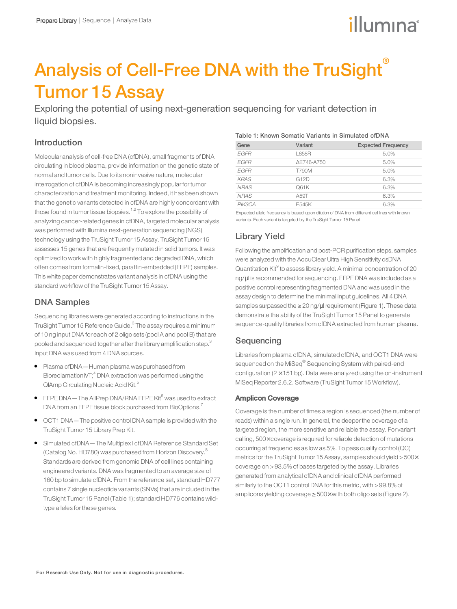# illumına

# Analysis of Cell-Free DNA with the TruSight® Tumor 15 Assay

Exploring the potential of using next-generation sequencing for variant detection in liquid biopsies.

## Introduction

Molecular analysis of cell-free DNA (cfDNA), small fragments of DNA circulating in blood plasma, provide information on the genetic state of normal and tumor cells. Due to its noninvasive nature, molecular interrogation of cfDNA is becoming increasingly popularfortumor characterization and treatment monitoring. Indeed, it has been shown that the genetic variants detected in cfDNA are highly concordant with those found in tumor tissue biopsies.<sup>1,2</sup> To explore the possibility of analyzing cancer-related genes in cfDNA, targeted molecular analysis was performed with Illumina next-generation sequencing (NGS) technology using the TruSight Tumor 15 Assay. TruSight Tumor 15 assesses 15 genes that are frequently mutated in solid tumors. It was optimized to work with highly fragmented and degraded DNA, which often comes from formalin-fixed, paraffin-embedded (FFPE) samples. This white paper demonstrates variant analysis in cfDNA using the standard workflow of the TruSight Tumor 15 Assay.

## DNA Samples

Sequencing libraries were generated according to instructions in the TruSight Tumor 15 Reference Guide.<sup>3</sup> The assay requires a minimum of 10 ng input DNA for each of 2 oligo sets (pool A and pool B) that are pooled and sequenced together after the library amplification step.<sup>3</sup> Input DNA was used from 4 DNA sources.

- Plasma cfDNA—Human plasma was purchased from BioreclamationIVT; $<sup>4</sup>$  DNA extraction was performed using the</sup> QIAmp Circulating Nucleic Acid Kit.<sup>5</sup>
- FFPE DNA—The AllPrep DNA/RNA FFPE Kit $^6$  was used to extract DNA from an FFPE tissue block purchased from BioOptions.<sup>7</sup>
- OCT1 DNA—The positive control DNA sample is provided with the TruSight Tumor 15 Library Prep Kit.
- Simulated cfDNA—The Multiplex I cfDNA Reference Standard Set (Catalog No. HD780) was purchased from Horizon Discovery.<sup>8</sup> Standards are derived from genomic DNA of cell lines containing engineered variants. DNA was fragmented to an average size of 160 bp to simulate cfDNA. From the reference set, standard HD777 contains 7 single nucleotide variants (SNVs) that are included in the TruSight Tumor 15 Panel (Table 1); standard HD776 contains wildtype alleles for these genes.

#### Table 1: Known Somatic Variants in Simulated cfDNA

| Gene        | Variant    | <b>Expected Frequency</b> |
|-------------|------------|---------------------------|
| <b>EGFR</b> | L858R      | 5.0%                      |
| <b>EGFR</b> | ΔE746-A750 | 5.0%                      |
| EGFR        | T790M      | 5.0%                      |
| <b>KRAS</b> | G12D       | 6.3%                      |
| <b>NRAS</b> | Q61K       | 6.3%                      |
| <b>NRAS</b> | A59T       | 6.3%                      |
| PIK3CA      | E545K      | 6.3%                      |

Expected allelic frequency is based upon dilution of DNA from different cell lines with known variants. Each variant is targeted by the TruSight Tumor 15 Panel.

## Library Yield

Following the amplification and post-PCR purification steps, samples were analyzed with the AccuClear Ultra High Sensitivity dsDNA Quantitation Kit<sup>9</sup> to assess library yield. A minimal concentration of 20 ng/µl is recommended for sequencing. FFPEDNA was included as a positive control representing fragmented DNA and was used in the assay design to determine the minimal input guidelines. All 4 DNA samples surpassed the ≥ 20 ng/µl requirement (Figure 1). These data demonstrate the ability of the TruSight Tumor 15 Panel to generate sequence-quality libraries from cfDNA extracted from human plasma.

## **Sequencing**

Libraries from plasma cfDNA, simulated cfDNA, and OCT1 DNA were sequenced on the MiSeq<sup>®</sup> Sequencing System with paired-end configuration ( $2 \times 151$  bp). Data were analyzed using the on-instrument MiSeq Reporter 2.6.2. Software (TruSight Tumor 15 Workflow).

### Amplicon Coverage

Coverage is the number of times a region is sequenced (the number of reads) within a single run. In general, the deeperthe coverage of a targeted region, the more sensitive and reliable the assay. For variant calling, 500× coverage is required forreliable detection of mutations occurring at frequencies as low as 5%. To pass quality control (QC) metrics forthe TruSight Tumor 15 Assay, samples should yield >500× coverage on >93.5%of bases targeted by the assay. Libraries generated from analytical cfDNA and clinical cfDNA performed similarly to the OCT1 control DNA for this metric, with >99.8% of amplicons yielding coverage ≥ 500× with both oligo sets (Figure 2).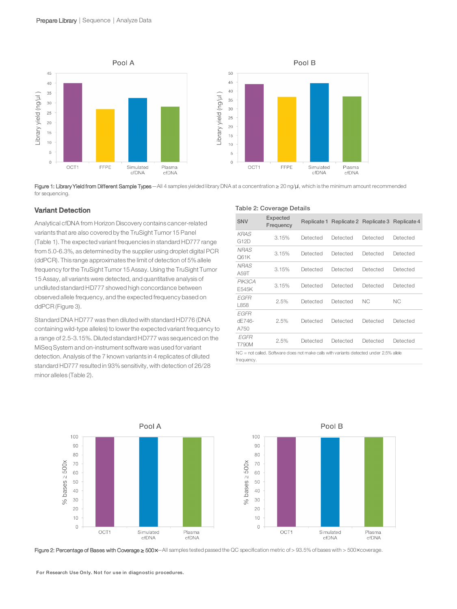

Figure 1: Library Yield from Different Sample Types—All 4 samples yielded library DNA at a concentration ≥ 20 ng/µl, which is the minimum amount recommended for sequencing.

Table 2: Coverage Details

#### Variant Detection

Analytical cfDNA from Horizon Discovery contains cancer-related variants that are also covered by the TruSight Tumor 15 Panel (Table 1). The expected variant frequencies in standard HD777 range from 5.0-6.3%, as determined by the supplier using droplet digital PCR (ddPCR). This range approximates the limit of detection of 5%allele frequency forthe TruSight Tumor 15 Assay. Using the TruSight Tumor 15 Assay, all variants were detected, and quantitative analysis of undiluted standard HD777 showed high concordance between observed allele frequency, and the expected frequency based on ddPCR (Figure 3).

Standard DNA HD777 was then diluted with standard HD776 (DNA containing wild-type alleles) to lowerthe expected variant frequency to a range of 2.5-3.15%. Diluted standard HD777 was sequenced on the MiSeq System and on-instrument software was used for variant detection. Analysis of the 7 known variants in 4 replicates of diluted standard HD777 resulted in 93% sensitivity, with detection of 26/28 minor alleles (Table 2).

| <b>SNV</b>                                                                                              | Expected<br>Frequency |          | Replicate 1 Replicate 2 Replicate 3 |          | Replicate 4 |  |
|---------------------------------------------------------------------------------------------------------|-----------------------|----------|-------------------------------------|----------|-------------|--|
| <b>KRAS</b><br>G12D                                                                                     | 3.15%                 | Detected | Detected                            | Detected | Detected    |  |
| <b>NRAS</b><br>O61K                                                                                     | 3.15%                 | Detected | Detected                            | Detected | Detected    |  |
| NRA <sub>S</sub><br>A59T                                                                                | 3.15%                 | Detected | Detected                            | Detected | Detected    |  |
| PIK3CA<br>E545K                                                                                         | 3.15%                 | Detected | Detected                            | Detected | Detected    |  |
| EGFR<br>1858                                                                                            | 2.5%                  | Detected | Detected                            | NC.      | NC.         |  |
| <b>EGFR</b><br>$dF746-$<br>A750                                                                         | 2.5%                  | Detected | Detected                            | Detected | Detected    |  |
| EGFR<br><b>T790M</b>                                                                                    | 2.5%                  | Detected | Detected                            | Detected | Detected    |  |
| $NC = not called$ . Software does not make calls with variants detected under 2.5% allele<br>frequency. |                       |          |                                     |          |             |  |



Figure 2: Percentage of Bases with Coverage ≥ 500x-All samples tested passed the QC specification metric of > 93.5% of bases with > 500x coverage.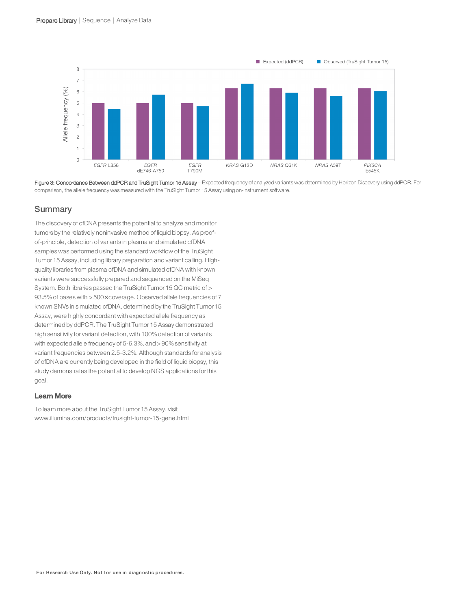

Figure 3: Concordance Between ddPCR and TruSight Tumor 15 Assay—Expected frequency of analyzed variants was determined by Horizon Discovery using ddPCR. For comparison, the allele frequency was measured with the TruSight Tumor 15 Assay using on-instrument software.

### **Summary**

The discovery of cfDNA presents the potential to analyze and monitor tumors by the relatively noninvasive method of liquid biopsy. As proofof-principle, detection of variants in plasma and simulated cfDNA samples was performed using the standard workflow of the TruSight Tumor 15 Assay, including library preparation and variant calling. HIghquality libraries from plasma cfDNA and simulated cfDNA with known variants were successfully prepared and sequenced on the MiSeq System. Both libraries passed the TruSight Tumor 15 QC metric of > 93.5% of bases with > 500x coverage. Observed allele frequencies of 7 known SNVs in simulated cfDNA, determined by the TruSight Tumor 15 Assay, were highly concordant with expected allele frequency as determined by ddPCR. The TruSight Tumor 15 Assay demonstrated high sensitivity for variant detection, with 100% detection of variants with expected allele frequency of 5-6.3%, and >90% sensitivity at variant frequencies between 2.5-3.2%. Although standards for analysis of cfDNA are currently being developed in the field of liquid biopsy, this study demonstrates the potential to develop NGS applications forthis goal.

#### Learn More

To learn more about the TruSight Tumor 15 Assay, visit [www.illumina.com/products/trusight-tumor-15-gene.html](http://www.illumina.com/products/trusight-tumor-15-gene.html)